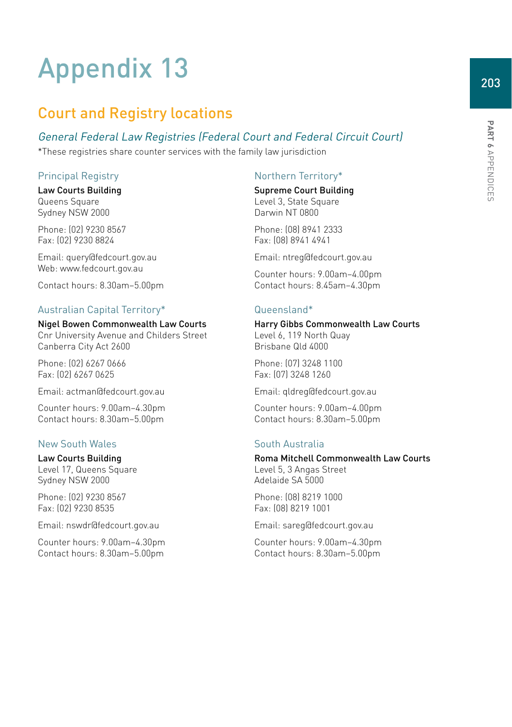# Appendix 13

# Court and Registry locations

## General Federal Law Registries (Federal Court and Federal Circuit Court)

\*These registries share counter services with the family law jurisdiction

## Principal Registry

Law Courts Building Queens Square Sydney NSW 2000

Phone: (02) 9230 8567 Fax: (02) 9230 8824

Email: [query@fedcourt.gov.au](mailto:query@fedcourt.gov.au) Web: [www.fedcourt.gov.au](http://www.fedcourt.gov.au)

Contact hours: 8.30am–5.00pm

## Australian Capital Territory\*

## Nigel Bowen Commonwealth Law Courts

Cnr University Avenue and Childers Street Canberra City Act 2600

Phone: (02) 6267 0666 Fax: (02) 6267 0625

Email: [actman@fedcourt.gov.au](mailto:actman@fedcourt.gov.au)

Counter hours: 9.00am–4.30pm Contact hours: 8.30am–5.00pm

## New South Wales

## Law Courts Building

Level 17, Queens Square Sydney NSW 2000

Phone: (02) 9230 8567 Fax: (02) 9230 8535

Email: [nswdr@fedcourt.gov.au](mailto:nswdr@fedcourt.gov.au)

Counter hours: 9.00am–4.30pm Contact hours: 8.30am–5.00pm

## Northern Territory\*

Supreme Court Building Level 3, State Square Darwin NT 0800

Phone: (08) 8941 2333 Fax: (08) 8941 4941

Email: [ntreg@fedcourt.gov.au](mailto:ntreg@fedcourt.gov.au)

Counter hours: 9.00am–4.00pm Contact hours: 8.45am–4.30pm

### Queensland\*

#### Harry Gibbs Commonwealth Law Courts

Level 6, 119 North Quay Brisbane Qld 4000

Phone: (07) 3248 1100 Fax: (07) 3248 1260

Email: [qldreg@fedcourt.gov.au](mailto:qldreg@fedcourt.gov.au)

Counter hours: 9.00am–4.00pm Contact hours: 8.30am–5.00pm

## South Australia

#### Roma Mitchell Commonwealth Law Courts

Level 5, 3 Angas Street Adelaide SA 5000

Phone: (08) 8219 1000 Fax: (08) 8219 1001

Email: [sareg@fedcourt.gov.au](mailto:sareg@fedcourt.gov.au)

Counter hours: 9.00am–4.30pm Contact hours: 8.30am–5.00pm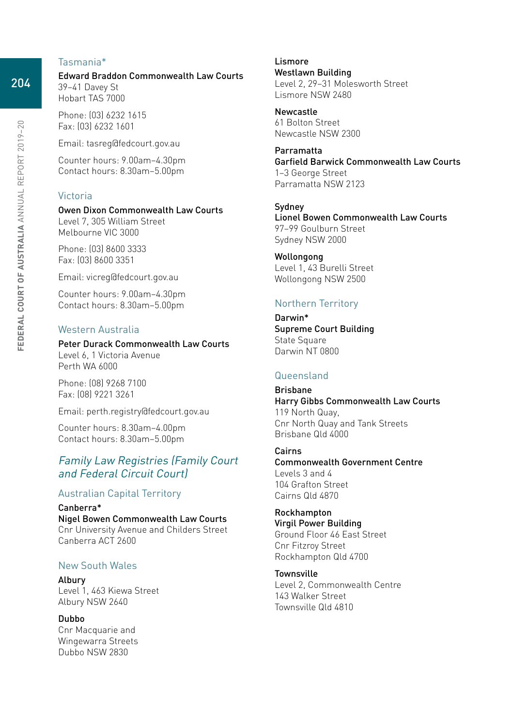#### Tasmania\*

Edward Braddon Commonwealth Law Courts 39–41 Davey St Hobart TAS 7000

Phone: (03) 6232 1615 Fax: (03) 6232 1601

Email: tasreg@fedcourt.gov.au

Counter hours: 9.00am–4.30pm Contact hours: 8.30am–5.00pm

#### Victoria

Owen Dixon Commonwealth Law Courts Level 7, 305 William Street Melbourne VIC 3000

Phone: (03) 8600 3333 Fax: (03) 8600 3351

Email: vicreg@fedcourt.gov.au

Counter hours: 9.00am–4.30pm Contact hours: 8.30am–5.00pm

#### Western Australia

Perth WA 6000

Peter Durack Commonwealth Law Courts Level 6, 1 Victoria Avenue

Phone: (08) 9268 7100 Fax: (08) 9221 3261

Email: perth.registry@fedcourt.gov.au

Counter hours: 8.30am–4.00pm Contact hours: 8.30am–5.00pm

## Family Law Registries (Family Court and Federal Circuit Court)

#### Australian Capital Territory

Canberra\* Nigel Bowen Commonwealth Law Courts Cnr University Avenue and Childers Street Canberra ACT 2600

#### New South Wales

Albury Level 1, 463 Kiewa Street Albury NSW 2640

Dubbo Cnr Macquarie and Wingewarra Streets Dubbo NSW 2830

Lismore Westlawn Building Level 2, 29–31 Molesworth Street Lismore NSW 2480

Newcastle 61 Bolton Street Newcastle NSW 2300

Parramatta Garfield Barwick Commonwealth Law Courts 1–3 George Street Parramatta NSW 2123

Sydney Lionel Bowen Commonwealth Law Courts 97–99 Goulburn Street Sydney NSW 2000

Wollongong Level 1, 43 Burelli Street Wollongong NSW 2500

#### Northern Territory

Darwin\* Supreme Court Building State Square Darwin NT 0800

#### Queensland

Brisbane Harry Gibbs Commonwealth Law Courts 119 North Quay, Cnr North Quay and Tank Streets Brisbane Qld 4000

Cairns Commonwealth Government Centre Levels 3 and 4 104 Grafton Street Cairns Qld 4870

Rockhampton Virgil Power Building Ground Floor 46 East Street Cnr Fitzroy Street Rockhampton Qld 4700

**Townsville** Level 2, Commonwealth Centre 143 Walker Street Townsville Qld 4810